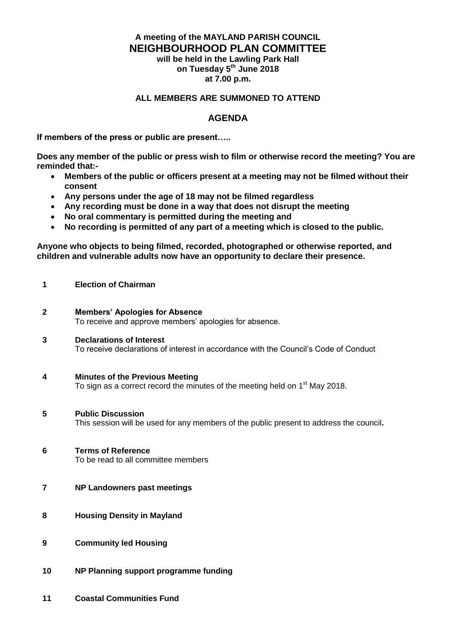## **A meeting of the MAYLAND PARISH COUNCIL NEIGHBOURHOOD PLAN COMMITTEE will be held in the Lawling Park Hall on Tuesday 5 th June 2018**

**at 7.00 p.m.**

#### **ALL MEMBERS ARE SUMMONED TO ATTEND**

### **AGENDA**

**If members of the press or public are present…..**

**Does any member of the public or press wish to film or otherwise record the meeting? You are reminded that:-**

- **Members of the public or officers present at a meeting may not be filmed without their consent**
- **Any persons under the age of 18 may not be filmed regardless**
- **Any recording must be done in a way that does not disrupt the meeting**
- **No oral commentary is permitted during the meeting and**<br>• No recording is permitted of any part of a meeting which
- **No recording is permitted of any part of a meeting which is closed to the public.**

**Anyone who objects to being filmed, recorded, photographed or otherwise reported, and children and vulnerable adults now have an opportunity to declare their presence.**

- **1 Election of Chairman**
- **2 Members' Apologies for Absence** To receive and approve members' apologies for absence.
- **3 Declarations of Interest** To receive declarations of interest in accordance with the Council's Code of Conduct
- **4 Minutes of the Previous Meeting**  To sign as a correct record the minutes of the meeting held on 1<sup>st</sup> May 2018.
- **5 Public Discussion** This session will be used for any members of the public present to address the council**.**
- **6 Terms of Reference** To be read to all committee members
- **7 NP Landowners past meetings**
- **8 Housing Density in Mayland**
- **9 Community led Housing**
- **10 NP Planning support programme funding**
- **11 Coastal Communities Fund**